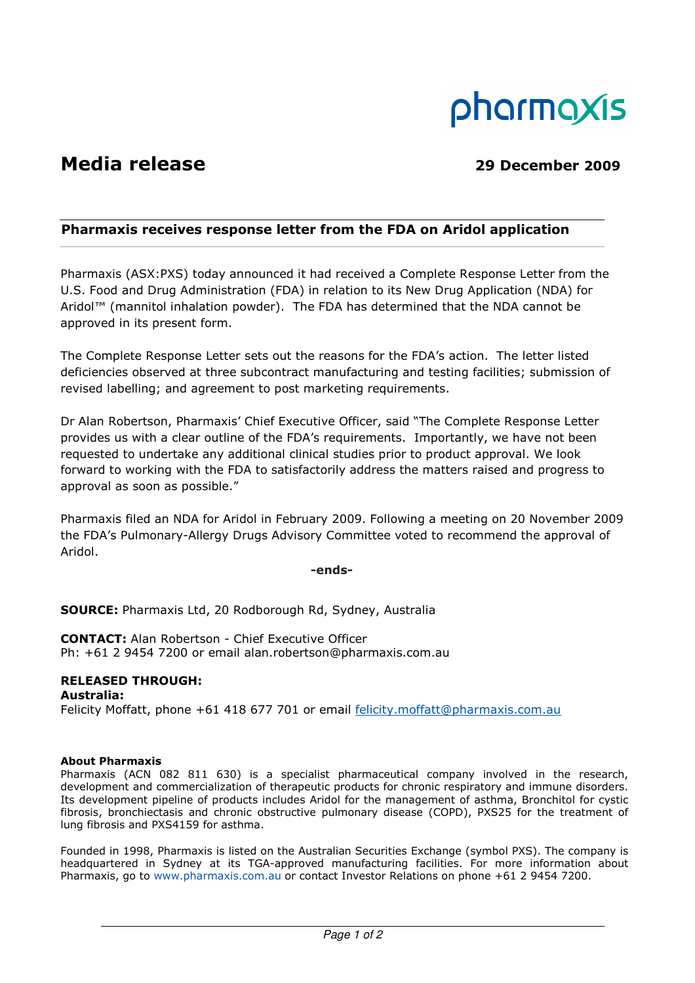

# Media release 2009

# Pharmaxis receives response letter from the FDA on Aridol application

Pharmaxis (ASX:PXS) today announced it had received a Complete Response Letter from the U.S. Food and Drug Administration (FDA) in relation to its New Drug Application (NDA) for Aridol™ (mannitol inhalation powder). The FDA has determined that the NDA cannot be approved in its present form.

The Complete Response Letter sets out the reasons for the FDA's action. The letter listed deficiencies observed at three subcontract manufacturing and testing facilities; submission of revised labelling; and agreement to post marketing requirements.

Dr Alan Robertson, Pharmaxis' Chief Executive Officer, said "The Complete Response Letter provides us with a clear outline of the FDA's requirements. Importantly, we have not been requested to undertake any additional clinical studies prior to product approval. We look forward to working with the FDA to satisfactorily address the matters raised and progress to approval as soon as possible."

Pharmaxis filed an NDA for Aridol in February 2009. Following a meeting on 20 November 2009 the FDA's Pulmonary-Allergy Drugs Advisory Committee voted to recommend the approval of Aridol.

-ends-

SOURCE: Pharmaxis Ltd, 20 Rodborough Rd, Sydney, Australia

CONTACT: Alan Robertson - Chief Executive Officer Ph: +61 2 9454 7200 or email alan.robertson@pharmaxis.com.au

## RELEASED THROUGH:

Australia: Felicity Moffatt, phone +61 418 677 701 or email felicity.moffatt@pharmaxis.com.au

### About Pharmaxis

Pharmaxis (ACN 082 811 630) is a specialist pharmaceutical company involved in the research, development and commercialization of therapeutic products for chronic respiratory and immune disorders. Its development pipeline of products includes Aridol for the management of asthma, Bronchitol for cystic fibrosis, bronchiectasis and chronic obstructive pulmonary disease (COPD), PXS25 for the treatment of lung fibrosis and PXS4159 for asthma.

Founded in 1998, Pharmaxis is listed on the Australian Securities Exchange (symbol PXS). The company is headquartered in Sydney at its TGA-approved manufacturing facilities. For more information about Pharmaxis, go to www.pharmaxis.com.au or contact Investor Relations on phone +61 2 9454 7200.